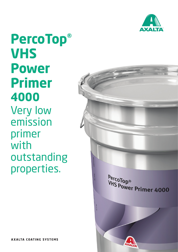

**PercoTop® VHS Power Primer 4000** Very low emission primer with outstanding properties.